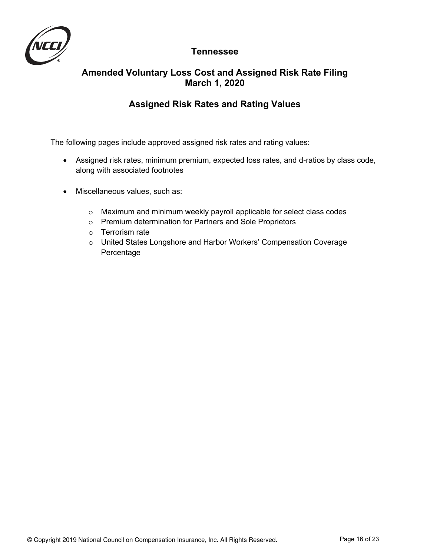

# **Tennessee**

# **Amended Voluntary Loss Cost and Assigned Risk Rate Filing March 1, 2020**

# **Assigned Risk Rates and Rating Values**

The following pages include approved assigned risk rates and rating values:

- Assigned risk rates, minimum premium, expected loss rates, and d-ratios by class code, along with associated footnotes
- Miscellaneous values, such as:
	- o Maximum and minimum weekly payroll applicable for select class codes
	- o Premium determination for Partners and Sole Proprietors
	- o Terrorism rate
	- o United States Longshore and Harbor Workers' Compensation Coverage Percentage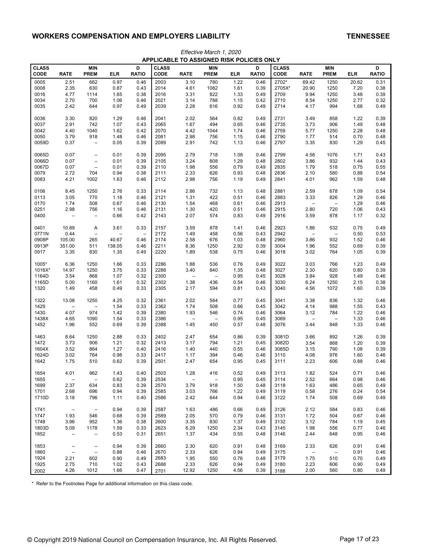|                | Effective March 1, 2020<br>APPLICABLE TO ASSIGNED RISK POLICIES ONLY |                                        |              |                          |              |                          |                          |              |              |              |                          |                          |              |              |
|----------------|----------------------------------------------------------------------|----------------------------------------|--------------|--------------------------|--------------|--------------------------|--------------------------|--------------|--------------|--------------|--------------------------|--------------------------|--------------|--------------|
| <b>CLASS</b>   |                                                                      | <b>MIN</b>                             |              | D                        | <b>CLASS</b> |                          | <b>MIN</b>               |              | D            | <b>CLASS</b> |                          | <b>MIN</b>               |              | D            |
| CODE           | <b>RATE</b>                                                          | <b>PREM</b>                            | ELR          | <b>RATIO</b>             | CODE         | <b>RATE</b>              | <b>PREM</b>              | ELR          | <b>RATIO</b> | CODE         | <b>RATE</b>              | <b>PREM</b>              | <b>ELR</b>   | <b>RATIO</b> |
| 0005           | 2.51                                                                 | 662                                    | 0.97         | 0.46                     | 2003         | 3.10                     | 780                      | 1.22         | 0.46         | 2702*        | 69.42                    | 1250                     | 20.62        | 0.31         |
| 0008           | 2.35                                                                 | 630                                    | 0.87         | 0.43                     | 2014         | 4.61                     | 1082                     | 1.61         | 0.39         | 2705X*       | 20.90                    | 1250                     | 7.20         | 0.38         |
| 0016           | 4.77                                                                 | 1114                                   | 1.65         | 0.38                     | 2016         | 3.31                     | 822                      | 1.33         | 0.49         | 2709         | 9.94                     | 1250                     | 3.48         | 0.39         |
| 0034           | 2.70                                                                 | 700                                    | 1.06         | 0.46                     | 2021         | 3.14                     | 788                      | 1.15         | 0.42         | 2710         | 8.54                     | 1250                     | 2.77         | 0.32         |
| 0035           | 2.42                                                                 | 644                                    | 0.97         | 0.49                     | 2039         | 2.28                     | 616                      | 0.92         | 0.49         | 2714         | 4.17                     | 994                      | 1.68         | 0.49         |
| 0036           | 3.30                                                                 | 820                                    | 1.29         | 0.46                     | 2041         | 2.02                     | 564                      | 0.82         | 0.49         | 2731         | 3.49                     | 858                      | 1.22         | 0.39         |
| 0037           | 2.91                                                                 | 742                                    | 1.07         | 0.43                     | 2065         | 1.67                     | 494                      | 0.65         | 0.46         | 2735         | 3.73                     | 906                      | 1.49         | 0.48         |
| 0042           | 4.40                                                                 | 1040                                   | 1.62         | 0.42                     | 2070         | 4.42                     | 1044                     | 1.74         | 0.46         | 2759         | 5.77                     | 1250                     | 2.28         | 0.48         |
| 0050<br>0059D  | 3.79<br>0.37                                                         | 918<br>$\overline{\phantom{0}}$        | 1.48<br>0.05 | 0.46<br>0.39             | 2081<br>2089 | 2.98<br>2.91             | 756<br>742               | 1.15<br>1.13 | 0.46<br>0.46 | 2790<br>2797 | 1.77<br>3.35             | 514<br>830               | 0.70<br>1.29 | 0.48<br>0.45 |
|                |                                                                      |                                        |              |                          |              |                          |                          |              |              |              |                          |                          |              |              |
| 0065D          | 0.07                                                                 | $\overline{\phantom{0}}$               | 0.01         | 0.39                     | 2095         | 2.79                     | 718                      | 1.08<br>1.29 | 0.46         | 2799         | 4.58                     | 1076                     | 1.71         | 0.43         |
| 0066D<br>0067D | 0.07<br>0.07                                                         | $\qquad \qquad -$<br>$\qquad \qquad -$ | 0.01<br>0.01 | 0.39<br>0.39             | 2105<br>2110 | 3.24<br>1.98             | 808<br>556               | 0.79         | 0.48<br>0.49 | 2802<br>2835 | 3.86<br>1.79             | 932<br>518               | 1.44<br>0.75 | 0.43<br>0.55 |
| 0079           | 2.72                                                                 | 704                                    | 0.94         | 0.38                     | 2111         | 2.33                     | 626                      | 0.93         | 0.48         | 2836         | 2.10                     | 580                      | 0.88         | 0.54         |
| 0083           | 4.21                                                                 | 1002                                   | 1.63         | 0.46                     | 2112         | 2.98                     | 756                      | 1.19         | 0.49         | 2841         | 4.01                     | 962                      | 1.59         | 0.48         |
| 0106           | 8.45                                                                 | 1250                                   | 2.76         | 0.33                     | 2114         | 2.86                     | 732                      | 1.13         | 0.48         | 2881         | 2.59                     | 678                      | 1.09         | 0.54         |
| 0113           | 3.05                                                                 | 770                                    | 1.18         | 0.46                     | 2121         | 1.31                     | 422                      | 0.51         | 0.46         | 2883         | 3.33                     | 826                      | 1.29         | 0.46         |
| 0170           | 1.74                                                                 | 508                                    | 0.67         | 0.46                     | 2130         | 1.54                     | 468                      | 0.61         | 0.46         | 2913         | $\overline{\phantom{0}}$ | $\overline{\phantom{0}}$ | 1.29         | 0.46         |
| 0251           | 2.98                                                                 | 756                                    | 1.16         | 0.46                     | 2131         | 1.30                     | 420                      | 0.51         | 0.46         | 2915         | 2.80                     | 720                      | 1.06         | 0.43         |
| 0400           | $\overline{\phantom{a}}$                                             | $\qquad \qquad -$                      | 0.66         | 0.42                     | 2143         | 2.07                     | 574                      | 0.83         | 0.49         | 2916         | 3.59                     | 878                      | 1.17         | 0.32         |
| 0401           | 10.89                                                                | Α                                      | 3.61         | 0.33                     | 2157         | 3.59                     | 878                      | 1.41         | 0.46         | 2923         | 1.86                     | 532                      | 0.75         | 0.49         |
| 0771N          | 0.44                                                                 | $\overline{\phantom{0}}$               |              | $\overline{\phantom{0}}$ | 2172         | 1.49                     | 458                      | 0.56         | 0.43         | 2942         |                          | $\overline{\phantom{0}}$ | 0.50         | 0.53         |
| 0908P          | 105.00                                                               | 265                                    | 40.67        | 0.46                     | 2174         | 2.58                     | 676                      | 1.03         | 0.48         | 2960         | 3.86                     | 932                      | 1.52         | 0.46         |
| 0913P          | 351.00                                                               | 511                                    | 138.05       | 0.46                     | 2211         | 8.36                     | 1250                     | 2.92         | 0.39         | 3004         | 1.96                     | 552                      | 0.69         | 0.39         |
| 0917           | 3.35                                                                 | 830                                    | 1.35         | 0.49                     | 2220         | 1.89                     | 538                      | 0.75         | 0.46         | 3018         | 3.02                     | 764                      | 1.05         | 0.39         |
| 1005*          | 6.36                                                                 | 1250                                   | 1.66         | 0.33                     | 2286         | 1.88                     | 536                      | 0.76         | 0.49         | 3022         | 3.03                     | 766                      | 1.23         | 0.49         |
| 1016X*         | 14.97                                                                | 1250                                   | 3.75         | 0.33                     | 2288         | 3.40                     | 840                      | 1.35         | 0.48         | 3027         | 2.30                     | 620                      | 0.80         | 0.39         |
| 1164D          | 3.54                                                                 | 868                                    | 1.07         | 0.32                     | 2300         | $\overline{\phantom{0}}$ | $\qquad \qquad -$        | 0.95         | 0.45         | 3028         | 3.84                     | 928                      | 1.49         | 0.46         |
| 1165D          | 5.00                                                                 | 1160                                   | 1.61         | 0.32                     | 2302         | 1.38                     | 436                      | 0.54         | 0.46         | 3030         | 6.24                     | 1250                     | 2.15         | 0.38         |
| 1320           | 1.49                                                                 | 458                                    | 0.49         | 0.33                     | 2305         | 2.17                     | 594                      | 0.81         | 0.43         | 3040         | 4.56                     | 1072                     | 1.60         | 0.39         |
| 1322           | 13.08                                                                | 1250                                   | 4.25         | 0.32                     | 2361         | 2.02                     | 564                      | 0.77         | 0.45         | 3041         | 3.38                     | 836                      | 1.32         | 0.46         |
| 1429           |                                                                      | $\overline{\phantom{0}}$               | 1.54         | 0.33                     | 2362         | 1.74                     | 508                      | 0.66         | 0.45         | 3042         | 4.14                     | 988                      | 1.55         | 0.43         |
| 1430           | 4.07                                                                 | 974                                    | 1.42         | 0.39                     | 2380         | 1.93                     | 546                      | 0.74         | 0.46         | 3064         | 3.12                     | 784                      | 1.22         | 0.46         |
| 1438X          | 4.65                                                                 | 1090                                   | 1.54         | 0.33                     | 2386         | $\overline{\phantom{a}}$ | $\overline{\phantom{0}}$ | 0.95         | 0.45         | 3069         | $\qquad \qquad -$        | $\qquad \qquad -$        | 1.33         | 0.46         |
| 1452           | 1.96                                                                 | 552                                    | 0.69         | 0.39                     | 2388         | 1.45                     | 450                      | 0.57         | 0.48         | 3076         | 3.44                     | 848                      | 1.33         | 0.46         |
| 1463           | 8.64                                                                 | 1250                                   | 2.88         | 0.33                     | 2402         | 2.47                     | 654                      | 0.86         | 0.39         | 3081D        | 3.66                     | 892                      | 1.26         | 0.39         |
| 1472           | 3.73                                                                 | 906                                    | 1.21         | 0.32                     | 2413         | 3.17                     | 794                      | 1.21         | 0.45         | 3082D        | 3.54                     | 868                      | 1.20         | 0.39         |
| 1604X          | 3.52                                                                 | 864                                    | 1.27         | 0.40                     | 2416         | 1.40                     | 440                      | 0.55         | 0.46         | 3085D        | 3.15                     | 790                      | 1.08         | 0.39         |
| 1624D          | 3.02                                                                 | 764                                    | 0.98         | 0.33                     | 2417         | 1.17                     | 394                      | 0.46         | 0.46         | 3110         | 4.08                     | 976                      | 1.60         | 0.46         |
| 1642           | 1.75                                                                 | 510                                    | 0.62         | 0.39                     | 2501         | 2.47                     | 654                      | 0.95         | 0.45         | 3111         | 2.23                     | 606                      | 0.88         | 0.46         |
| 1654           | 4.01                                                                 | 962                                    | 1.43         | 0.40                     | 2503         | 1.28                     | 416                      | 0.52         | 0.49         | 3113         | 1.82                     | 524                      | 0.71         | 0.46         |
| 1655           |                                                                      | $\qquad \qquad -$                      | 0.62         | 0.39                     | 2534         | $\qquad \qquad -$        | $\overline{\phantom{0}}$ | 0.95         | 0.45         | 3114         | 2.52                     | 664                      | 0.98         | 0.46         |
| 1699           | 2.37                                                                 | 634                                    | 0.83         | 0.39                     | 2570         | 3.79                     | 918                      | 1.50         | 0.48         | 3118         | 1.63                     | 486                      | 0.65         | 0.49         |
| 1701           | 2.68                                                                 | 696                                    | 0.94         | 0.39                     | 2585         | 3.03                     | 766                      | 1.22         | 0.49         | 3119         | 0.58                     | 276                      | 0.24         | 0.54         |
| 1710D          | 3.18                                                                 | 796                                    | 1.11         | 0.40                     | 2586         | 2.42                     | 644                      | 0.94         | 0.46         | 3122         | 1.74                     | 508                      | 0.69         | 0.49         |
| 1741           | $\overline{\phantom{a}}$                                             | $\overline{\phantom{a}}$               | 0.94         | 0.39                     | 2587         | 1.63                     | 486                      | 0.66         | 0.49         | 3126         | 2.12                     | 584                      | 0.83         | 0.46         |
| 1747           | 1.93                                                                 | 546                                    | 0.68         | 0.39                     | 2589         | 2.05                     | 570                      | 0.79         | 0.46         | 3131         | 1.72                     | 504                      | 0.67         | 0.46         |
| 1748           | 3.96                                                                 | 952                                    | 1.36         | 0.38                     | 2600         | 3.35                     | 830                      | 1.37         | 0.49         | 3132         | 3.12                     | 784                      | 1.19         | 0.45         |
| 1803D          | 5.09                                                                 | 1178                                   | 1.59         | 0.33                     | 2623         | 6.29                     | 1250                     | 2.34         | 0.43         | 3145         | 1.98                     | 556                      | 0.77         | 0.46         |
| 1852           | $\overline{\phantom{a}}$                                             | $\overline{\phantom{m}}$               | 0.53         | 0.31                     | 2651         | 1.37                     | 434                      | 0.55         | 0.48         | 3146         | 2.44                     | 648                      | 0.95         | 0.46         |
| 1853           | $\overline{\phantom{a}}$                                             | $\overline{\phantom{m}}$               | 0.94         | 0.39                     | 2660         | 2.30                     | 620                      | 0.91         | 0.48         | 3169         | 2.33                     | 626                      | 0.91         | 0.46         |
| 1860           | $\overline{\phantom{a}}$                                             | $\overline{\phantom{a}}$               | 0.88         | 0.46                     | 2670         | 2.33                     | 626                      | 0.94         | 0.49         | 3175         | $\overline{\phantom{a}}$ | $\overline{\phantom{0}}$ | 0.91         | 0.46         |
| 1924           | 2.21                                                                 | 602                                    | 0.90         | 0.49                     | 2683         | 1.95                     | 550                      | 0.76         | 0.48         | 3179         | 1.75                     | 510                      | 0.70         | 0.49         |
| 1925           | 2.75                                                                 | 710                                    | 1.02         | 0.43                     | 2688         | 2.33                     | 626                      | 0.94         | 0.49         | 3180         | 2.23                     | 606                      | 0.90         | 0.49         |
| 2002           | 4.26                                                                 | 1012                                   | 1.66         | 0.47                     | 2701         | 12.92                    | 1250                     | 4.56         | 0.39         | 3188         | 2.00                     | 560                      | 0.80         | 0.49         |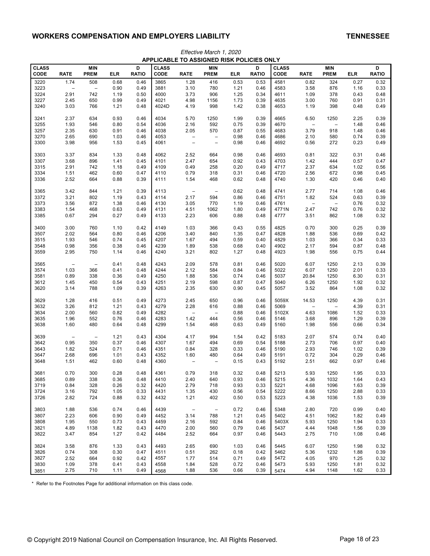|                      |                          |                           |              |                   |                      |                                 | <b>APPLICABLE TO ASSIGNED RISK POLICIES ONLY</b> |              |                   |                      |                          |                           |              |                   |
|----------------------|--------------------------|---------------------------|--------------|-------------------|----------------------|---------------------------------|--------------------------------------------------|--------------|-------------------|----------------------|--------------------------|---------------------------|--------------|-------------------|
| <b>CLASS</b><br>CODE | <b>RATE</b>              | <b>MIN</b><br><b>PREM</b> | <b>ELR</b>   | D<br><b>RATIO</b> | <b>CLASS</b><br>CODE | <b>RATE</b>                     | <b>MIN</b><br><b>PREM</b>                        | <b>ELR</b>   | D<br><b>RATIO</b> | <b>CLASS</b><br>CODE | <b>RATE</b>              | <b>MIN</b><br><b>PREM</b> | <b>ELR</b>   | D<br><b>RATIO</b> |
| 3220                 | 1.74                     | 508                       | 0.68         | 0.46              | 3865                 | 1.28                            | 416                                              | 0.53         | 0.53              | 4581                 | 0.82                     | 324                       | 0.27         | 0.32              |
| 3223                 | $\overline{\phantom{a}}$ | $\overline{\phantom{0}}$  | 0.90         | 0.49              | 3881                 | 3.10                            | 780                                              | 1.21         | 0.46              | 4583                 | 3.58                     | 876                       | 1.16         | 0.33              |
| 3224                 | 2.91                     | 742                       | 1.19         | 0.50              | 4000                 | 3.73                            | 906                                              | 1.25         | 0.34              | 4611                 | 1.09                     | 378                       | 0.43         | 0.48              |
| 3227                 | 2.45                     | 650                       | 0.99         | 0.49              | 4021                 | 4.98                            | 1156                                             | 1.73         | 0.39              | 4635                 | 3.00                     | 760                       | 0.91         | 0.31              |
| 3240                 | 3.03                     | 766                       | 1.21         | 0.48              | 4024D                | 4.19                            | 998                                              | 1.42         | 0.38              | 4653                 | 1.19                     | 398                       | 0.48         | 0.49              |
|                      |                          |                           |              |                   |                      |                                 |                                                  |              |                   |                      |                          |                           |              |                   |
| 3241                 | 2.37                     | 634                       | 0.93         | 0.46              | 4034                 | 5.70                            | 1250                                             | 1.99         | 0.39              | 4665                 | 6.50                     | 1250                      | 2.25         | 0.39              |
| 3255                 | 1.93                     | 546                       | 0.80         | 0.54              | 4036                 | 2.16                            | 592                                              | 0.75         | 0.39              | 4670                 | $\qquad \qquad -$        | $\qquad \qquad -$         | 1.48         | 0.46              |
| 3257                 | 2.35                     | 630                       | 0.91         | 0.46              | 4038                 | 2.05                            | 570                                              | 0.87         | 0.55              | 4683                 | 3.79                     | 918                       | 1.48         | 0.46              |
| 3270                 | 2.65                     | 690                       | 1.03         | 0.46              | 4053                 | $\qquad \qquad -$               | $\overline{\phantom{a}}$                         | 0.98         | 0.46              | 4686                 | 2.10                     | 580                       | 0.74         | 0.39              |
| 3300                 | 3.98                     | 956                       | 1.53         | 0.45              | 4061                 | $\qquad \qquad -$               | $\qquad \qquad -$                                | 0.98         | 0.46              | 4692                 | 0.56                     | 272                       | 0.23         | 0.49              |
|                      |                          |                           |              |                   |                      |                                 |                                                  |              |                   |                      |                          |                           |              |                   |
| 3303<br>3307         | 3.37<br>3.68             | 834<br>896                | 1.33<br>1.41 | 0.48<br>0.45      | 4062<br>4101         | 2.52<br>2.47                    | 664<br>654                                       | 0.98<br>0.92 | 0.46<br>0.43      | 4693<br>4703         | 0.81<br>1.42             | 322<br>444                | 0.31<br>0.57 | 0.46<br>0.47      |
| 3315                 | 2.91                     | 742                       | 1.18         | 0.49              | 4109                 | 0.49                            | 258                                              | 0.20         | 0.49              | 4717                 | 2.37                     | 634                       | 1.02         | 0.56              |
| 3334                 | 1.51                     |                           |              |                   | 4110                 | 0.79                            |                                                  | 0.31         |                   | 4720                 | 2.56                     | 672                       |              |                   |
|                      |                          | 462                       | 0.60         | 0.47              |                      |                                 | 318                                              |              | 0.46              |                      |                          |                           | 0.98         | 0.45              |
| 3336                 | 2.52                     | 664                       | 0.88         | 0.39              | 4111                 | 1.54                            | 468                                              | 0.62         | 0.48              | 4740                 | 1.30                     | 420                       | 0.46         | 0.40              |
| 3365                 | 3.42                     | 844                       | 1.21         | 0.39              | 4113                 | $\qquad \qquad -$               | $\overline{\phantom{0}}$                         | 0.62         | 0.48              | 4741                 | 2.77                     | 714                       | 1.08         | 0.46              |
| 3372                 | 3.21                     | 802                       | 1.19         | 0.43              | 4114                 | 2.17                            | 594                                              | 0.86         | 0.46              | 4751                 | 1.82                     | 524                       | 0.63         | 0.39              |
| 3373                 | 3.56                     | 872                       | 1.38         | 0.46              | 4130                 | 3.05                            | 770                                              | 1.19         | 0.46              | 4761                 | $\overline{\phantom{0}}$ | $\overline{\phantom{a}}$  | 0.76         | 0.32              |
| 3383                 | 1.54                     | 468                       | 0.63         | 0.49              | 4131                 | 4.51                            | 1062                                             | 1.80         | 0.49              | 4771N                | 2.47                     | 742                       | 0.76         | 0.32              |
| 3385                 | 0.67                     | 294                       | 0.27         | 0.49              | 4133                 | 2.23                            | 606                                              | 0.88         | 0.48              | 4777                 | 3.51                     | 862                       | 1.08         | 0.32              |
|                      |                          |                           |              |                   |                      |                                 |                                                  |              |                   |                      |                          |                           |              |                   |
| 3400                 | 3.00                     | 760                       | 1.10         | 0.42              | 4149                 | 1.03                            | 366                                              | 0.43         | 0.55              | 4825                 | 0.70                     | 300                       | 0.25         | 0.39              |
| 3507                 | 2.02                     | 564                       | 0.80         | 0.46              | 4206                 | 3.40                            | 840                                              | 1.35         | 0.47              | 4828                 | 1.88                     | 536                       | 0.69         | 0.42              |
| 3515                 | 1.93                     | 546                       | 0.74         | 0.45              | 4207                 | 1.67                            | 494                                              | 0.59         | 0.40              | 4829                 | 1.03                     | 366                       | 0.34         | 0.33              |
| 3548                 | 0.98                     | 356                       | 0.38         | 0.46              | 4239                 | 1.89                            | 538                                              | 0.68         | 0.40              | 4902                 | 2.17                     | 594                       | 0.87         | 0.48              |
| 3559                 | 2.95                     | 750                       | 1.14         | 0.46              | 4240                 | 3.21                            | 802                                              | 1.27         | 0.48              | 4923                 | 1.98                     | 556                       | 0.75         | 0.44              |
| 3565                 | $\overline{\phantom{a}}$ | $\overline{\phantom{0}}$  | 0.41         | 0.48              | 4243                 | 2.09                            | 578                                              | 0.81         | 0.46              | 5020                 | 6.07                     | 1250                      | 2.13         | 0.39              |
| 3574                 | 1.03                     | 366                       | 0.41         | 0.48              | 4244                 | 2.12                            | 584                                              | 0.84         | 0.46              | 5022                 | 6.07                     | 1250                      | 2.01         | 0.33              |
| 3581                 | 0.89                     | 338                       | 0.36         | 0.49              | 4250                 | 1.88                            | 536                                              | 0.74         | 0.46              | 5037                 | 20.84                    | 1250                      | 6.30         | 0.31              |
| 3612                 | 1.45                     | 450                       | 0.54         | 0.43              | 4251                 | 2.19                            | 598                                              | 0.87         | 0.47              | 5040                 | 6.26                     | 1250                      | 1.92         | 0.32              |
| 3620                 | 3.14                     | 788                       | 1.09         | 0.39              | 4263                 | 2.35                            | 630                                              | 0.90         | 0.45              | 5057                 | 3.52                     | 864                       | 1.08         | 0.32              |
|                      |                          |                           |              |                   |                      |                                 |                                                  |              |                   |                      |                          |                           |              |                   |
| 3629                 | 1.28                     | 416                       | 0.51         | 0.49              | 4273                 | 2.45                            | 650                                              | 0.96         | 0.46              | 5059X                | 14.53                    | 1250                      | 4.39         | 0.31              |
| 3632                 | 3.26                     | 812                       | 1.21         | 0.43              | 4279                 | 2.28                            | 616                                              | 0.88         | 0.46              | 5069                 | $\overline{\phantom{a}}$ | $\overline{\phantom{0}}$  | 4.39         | 0.31              |
| 3634                 | 2.00                     | 560                       | 0.82         | 0.49              | 4282                 | $\overline{\phantom{a}}$        | $\overline{\phantom{0}}$                         | 0.88         | 0.46              | 5102X                | 4.63                     | 1086                      | 1.52         | 0.33              |
| 3635                 | 1.96                     | 552                       | 0.76         | 0.46              | 4283                 | 1.42                            | 444                                              | 0.56         | 0.46              | 5146                 | 3.68                     | 896                       | 1.29         | 0.39              |
| 3638                 | 1.60                     | 480                       | 0.64         | 0.48              | 4299                 | 1.54                            | 468                                              | 0.63         | 0.49              | 5160                 | 1.98                     | 556                       | 0.66         | 0.34              |
| 3639                 | $\overline{\phantom{a}}$ | $\qquad \qquad -$         | 1.21         | 0.43              | 4304                 | 4.17                            | 994                                              | 1.54         | 0.42              | 5183                 | 2.07                     | 574                       | 0.74         | 0.40              |
| 3642                 | 0.95                     | 350                       | 0.37         | 0.46              | 4307                 | 1.67                            | 494                                              | 0.69         | 0.54              | 5188                 | 2.73                     | 706                       | 0.97         | 0.40              |
| 3643                 | 1.82                     | 524                       | 0.71         | 0.46              | 4351                 | 0.84                            | 328                                              | 0.33         | 0.46              | 5190                 | 2.93                     | 746                       | 1.02         | 0.39              |
| 3647                 | 2.68                     | 696                       | 1.01         | 0.43              | 4352                 | 1.60                            | 480                                              | 0.64         | 0.49              | 5191                 | 0.72                     | 304                       | 0.29         | 0.46              |
| 3648                 | 1.51                     | 462                       | 0.60         | 0.48              | 4360                 |                                 | $\overline{\phantom{0}}$                         | 0.15         | 0.43              | 5192                 | 2.51                     | 662                       | 0.97         | 0.46              |
|                      |                          |                           |              |                   |                      |                                 |                                                  |              |                   |                      |                          |                           |              |                   |
| 3681                 | 0.70                     | 300                       | 0.28         | 0.48              | 4361                 | 0.79                            | 318                                              | 0.32         | 0.48              | 5213                 | 5.93                     | 1250                      | 1.95         | 0.33              |
| 3685                 | 0.89                     | 338                       | 0.36         | 0.48              | 4410                 | 2.40                            | 640                                              | 0.93         | 0.46              | 5215                 | 4.36                     | 1032                      | 1.64         | 0.43              |
| 3719                 | 0.84                     | 328                       | 0.26         | 0.32              | 4420                 | 2.79                            | 718                                              | 0.93         | 0.33              | 5221                 | 4.68                     | 1096                      | 1.63         | 0.39              |
| 3724                 | 3.16                     | 792                       | 1.05         | 0.33              | 4431                 | 1.35                            | 430                                              | 0.56         | 0.54              | 5222                 | 8.66                     | 1250                      | 2.88         | 0.33              |
| 3726                 | 2.82                     | 724                       | 0.88         | 0.32              | 4432                 | 1.21                            | 402                                              | 0.50         | 0.53              | 5223                 | 4.38                     | 1036                      | 1.53         | 0.39              |
| 3803                 | 1.88                     | 536                       | 0.74         | 0.46              | 4439                 | $\hspace{0.1mm}-\hspace{0.1mm}$ | $\overline{\phantom{m}}$                         | 0.72         | 0.46              | 5348                 | 2.80                     | 720                       | 0.99         | 0.40              |
| 3807                 | 2.23                     | 606                       | 0.90         | 0.49              | 4452                 | 3.14                            | 788                                              | 1.21         | 0.45              | 5402                 | 4.51                     | 1062                      | 1.82         | 0.49              |
| 3808                 | 1.95                     | 550                       | 0.73         | 0.43              | 4459                 | 2.16                            | 592                                              | 0.84         | 0.46              | 5403X                | 5.93                     | 1250                      | 1.94         | 0.33              |
| 3821                 | 4.89                     | 1138                      | 1.82         | 0.43              | 4470                 | 2.00                            | 560                                              | 0.79         | 0.46              | 5437                 | 4.44                     | 1048                      | 1.56         | 0.39              |
| 3822                 | 3.47                     | 854                       | 1.27         | 0.42              | 4484                 | 2.52                            | 664                                              | 0.97         | 0.46              | 5443                 | 2.75                     | 710                       | 1.08         | 0.46              |
|                      |                          |                           |              |                   |                      |                                 |                                                  |              |                   |                      |                          |                           |              |                   |
| 3824                 | 3.58                     | 876                       | 1.33         | 0.43              | 4493                 | 2.65                            | 690                                              | 1.03         | 0.46              | 5445                 | 6.07                     | 1250                      | 1.98         | 0.32              |
| 3826                 | 0.74                     | 308                       | 0.30         | 0.47              | 4511                 | 0.51                            | 262                                              | 0.18         | 0.42              | 5462                 | 5.36                     | 1232                      | 1.88         | 0.39              |
| 3827                 | 2.52                     | 664                       | 0.92         | 0.42              | 4557                 | 1.77                            | 514                                              | 0.71         | 0.49              | 5472                 | 4.05                     | 970                       | 1.25         | 0.32              |
| 3830                 | 1.09                     | 378                       | 0.41         | 0.43              | 4558                 | 1.84                            | 528                                              | 0.72         | 0.46              | 5473                 | 5.93                     | 1250                      | 1.81         | 0.32              |
| 3851                 | 2.75                     | 710                       | 1.11         | 0.49              | 4568                 | 1.88                            | 536                                              | 0.66         | 0.39              | 5474                 | 4.94                     | 1148                      | 1.62         | 0.33              |

Effective March 1, 2020 **APPLICABLE TO ASSIGNED RISK POLICIES ONLY**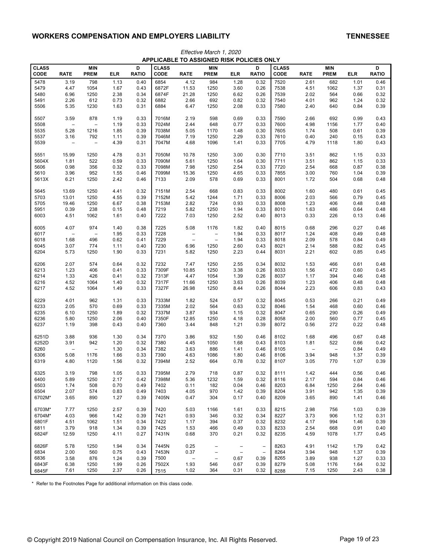|                      |                   |                           |              |                   |                      |                          |                           | <b>APPLICABLE TO ASSIGNED RISK POLICIES ONLY</b> |                          |                      |                          |                           |              |                   |
|----------------------|-------------------|---------------------------|--------------|-------------------|----------------------|--------------------------|---------------------------|--------------------------------------------------|--------------------------|----------------------|--------------------------|---------------------------|--------------|-------------------|
| <b>CLASS</b><br>CODE | <b>RATE</b>       | <b>MIN</b><br><b>PREM</b> | <b>ELR</b>   | D<br><b>RATIO</b> | <b>CLASS</b><br>CODE | <b>RATE</b>              | <b>MIN</b><br><b>PREM</b> | <b>ELR</b>                                       | D<br><b>RATIO</b>        | <b>CLASS</b><br>CODE | <b>RATE</b>              | <b>MIN</b><br><b>PREM</b> | <b>ELR</b>   | D<br><b>RATIO</b> |
|                      |                   |                           |              |                   |                      |                          |                           |                                                  |                          |                      |                          |                           |              |                   |
| 5478                 | 3.19              | 798                       | 1.13         | 0.40              | 6854                 | 4.12                     | 984                       | 1.28                                             | 0.32                     | 7520                 | 2.61                     | 682                       | 1.01         | 0.46              |
| 5479                 | 4.47              | 1054                      | 1.67         | 0.43              | 6872F                | 11.53                    | 1250                      | 3.60                                             | 0.26                     | 7538                 | 4.51                     | 1062                      | 1.37         | 0.31              |
| 5480                 | 6.96              | 1250                      | 2.38         | 0.34              | 6874F                | 21.28                    | 1250                      | 6.62                                             | 0.26                     | 7539                 | 2.02                     | 564                       | 0.66         | 0.32              |
| 5491                 | 2.26              | 612                       | 0.73         | 0.32              | 6882                 | 2.66                     | 692                       | 0.82                                             | 0.32                     | 7540                 | 4.01                     | 962                       | 1.24         | 0.32              |
| 5506                 | 5.35              | 1230                      | 1.63         | 0.31              | 6884                 | 6.47                     | 1250                      | 2.08                                             | 0.33                     | 7580                 | 2.40                     | 640                       | 0.84         | 0.39              |
| 5507                 | 3.59              | 878                       | 1.19         | 0.33              | 7016M                | 2.19                     | 598                       | 0.69                                             | 0.33                     | 7590                 | 2.66                     | 692                       | 0.99         | 0.43              |
| 5508                 |                   | $\overline{a}$            | 1.19         | 0.33              | 7024M                | 2.44                     | 648                       | 0.77                                             | 0.33                     | 7600                 | 4.98                     | 1156                      | 1.77         | 0.40              |
| 5535                 | 5.28              | 1216                      | 1.85         | 0.39              | 7038M                | 5.05                     | 1170                      | 1.48                                             | 0.30                     | 7605                 | 1.74                     | 508                       | 0.61         | 0.39              |
| 5537                 | 3.16              | 792                       | 1.11         | 0.39              | 7046M                | 7.19                     | 1250                      | 2.29                                             | 0.33                     | 7610                 | 0.40                     | 240                       | 0.15         | 0.43              |
| 5539                 | $\qquad \qquad -$ | $\overline{\phantom{m}}$  | 4.39         | 0.31              | 7047M                | 4.68                     | 1096                      | 1.41                                             | 0.33                     | 7705                 | 4.79                     | 1118                      | 1.80         | 0.43              |
| 5551                 | 15.99             | 1250                      | 4.78         | 0.31              | 7050M                | 10.78                    | 1250                      | 3.00                                             | 0.30                     | 7710                 | 3.51                     | 862                       | 1.15         | 0.33              |
| 5604X                | 1.81              | 522                       | 0.59         | 0.33              | 7090M                | 5.61                     | 1250                      | 1.64                                             | 0.30                     | 7711                 | 3.51                     | 862                       | 1.15         | 0.33              |
| 5606                 | 0.98              | 356                       | 0.32         | 0.33              | 7098M                | 7.98                     | 1250                      | 2.54                                             | 0.33                     | 7720                 | 2.54                     | 668                       | 0.87         | 0.38              |
| 5610                 | 3.96              | 952                       | 1.55         | 0.46              | 7099M                | 15.36                    | 1250                      | 4.65                                             | 0.33                     | 7855                 | 3.00                     | 760                       | 1.04         | 0.39              |
| 5613X                | 6.21              | 1250                      | 2.42         | 0.46              | 7133                 | 2.09                     | 578                       | 0.69                                             | 0.33                     | 8001                 | 1.72                     | 504                       | 0.68         | 0.48              |
|                      |                   |                           |              |                   |                      |                          |                           |                                                  |                          |                      |                          |                           |              |                   |
| 5645                 | 13.69             | 1250                      | 4.41         | 0.32              | 7151M                | 2.54                     | 668                       | 0.83                                             | 0.33                     | 8002                 | 1.60                     | 480                       | 0.61         | 0.45              |
| 5703                 | 13.01             | 1250                      | 4.55         | 0.39              | 7152M                | 5.42                     | 1244                      | 1.71                                             | 0.33                     | 8006                 | 2.03                     | 566                       | 0.79         | 0.45              |
| 5705                 | 19.46             | 1250                      | 6.67         | 0.38              | 7153M                | 2.82                     | 724                       | 0.93                                             | 0.33                     | 8008                 | 1.23                     | 406                       | 0.48         | 0.48              |
| 5951                 | 0.39              | 238                       | 0.15         | 0.48              | 7219                 | 5.82                     | 1250                      | 1.94                                             | 0.33                     | 8010                 | 1.63                     | 486                       | 0.64         | 0.48              |
| 6003                 | 4.51              | 1062                      | 1.61         | 0.40              | 7222                 | 7.03                     | 1250                      | 2.52                                             | 0.40                     | 8013                 | 0.33                     | 226                       | 0.13         | 0.46              |
| 6005                 | 4.07              | 974                       | 1.40         | 0.38              | 7225                 | 5.08                     | 1176                      | 1.82                                             | 0.40                     | 8015                 | 0.68                     | 296                       | 0.27         | 0.46              |
| 6017                 |                   | $\overline{a}$            | 1.95         | 0.33              | 7228                 | $\overline{\phantom{a}}$ | $\overline{\phantom{a}}$  | 1.94                                             | 0.33                     | 8017                 | 1.24                     | 408                       | 0.49         | 0.48              |
| 6018                 | 1.68              | 496                       | 0.62         | 0.41              | 7229                 | $\overline{\phantom{a}}$ | $\overline{\phantom{0}}$  | 1.94                                             | 0.33                     | 8018                 | 2.09                     | 578                       | 0.84         | 0.49              |
| 6045                 | 3.07              | 774                       | 1.11         | 0.40              | 7230                 | 6.96                     | 1250                      | 2.60                                             | 0.43                     | 8021                 | 2.14                     | 588                       | 0.82         | 0.45              |
| 6204                 | 5.73              | 1250                      | 1.90         | 0.33              | 7231                 | 5.82                     | 1250                      | 2.23                                             | 0.44                     | 8031                 | 2.21                     | 602                       | 0.85         | 0.45              |
| 6206                 | 2.07              | 574                       | 0.64         | 0.32              | 7232                 | 7.47                     | 1250                      | 2.55                                             | 0.34                     | 8032                 | 1.53                     | 466                       | 0.61         | 0.48              |
|                      | 1.23              | 406                       | 0.41         | 0.33              | 7309F                | 10.85                    | 1250                      | 3.38                                             |                          | 8033                 | 1.56                     | 472                       | 0.60         | 0.45              |
| 6213                 |                   |                           |              |                   |                      |                          |                           |                                                  | 0.26                     |                      |                          |                           |              |                   |
| 6214                 | 1.33              | 426                       | 0.41         | 0.32              | 7313F                | 4.47                     | 1054                      | 1.39                                             | 0.26                     | 8037                 | 1.17                     | 394                       | 0.46         | 0.48              |
| 6216<br>6217         | 4.52<br>4.52      | 1064<br>1064              | 1.40<br>1.49 | 0.32<br>0.33      | 7317F<br>7327F       | 11.66<br>26.98           | 1250<br>1250              | 3.63<br>8.44                                     | 0.26<br>0.26             | 8039<br>8044         | 1.23<br>2.23             | 406<br>606                | 0.48<br>0.83 | 0.48<br>0.43      |
|                      |                   |                           |              |                   |                      |                          |                           |                                                  |                          |                      |                          |                           |              |                   |
| 6229                 | 4.01              | 962                       | 1.31         | 0.33              | 7333M                | 1.82                     | 524                       | 0.57                                             | 0.32                     | 8045                 | 0.53                     | 266                       | 0.21         | 0.49              |
| 6233                 | 2.05              | 570                       | 0.69         | 0.33              | 7335M                | 2.02                     | 564                       | 0.63                                             | 0.32                     | 8046                 | 1.54                     | 468                       | 0.60         | 0.46              |
| 6235                 | 6.10              | 1250                      | 1.89         | 0.32              | 7337M                | 3.87                     | 934                       | 1.15                                             | 0.32                     | 8047                 | 0.65                     | 290                       | 0.26         | 0.49              |
| 6236                 | 5.80              | 1250                      | 2.06         | 0.40              | 7350F                | 12.85                    | 1250                      | 4.18                                             | 0.28                     | 8058                 | 2.00                     | 560                       | 0.77         | 0.45              |
| 6237                 | 1.19              | 398                       | 0.43         | 0.40              | 7360                 | 3.44                     | 848                       | 1.21                                             | 0.39                     | 8072                 | 0.56                     | 272                       | 0.22         | 0.48              |
| 6251D                | 3.88              | 936                       | 1.30         | 0.34              | 7370                 | 3.86                     | 932                       | 1.50                                             | 0.46                     | 8102                 | 1.68                     | 496                       | 0.67         | 0.48              |
| 6252D                | 3.91              | 942                       | 1.20         | 0.32              | 7380                 | 4.45                     | 1050                      | 1.68                                             | 0.43                     | 8103                 | 1.81                     | 522                       | 0.66         | 0.42              |
| 6260                 |                   | $\overline{a}$            | 1.30         | 0.34              | 7382                 | 3.63                     | 886                       | 1.41                                             | 0.46                     | 8105                 | $\overline{\phantom{a}}$ | $\qquad \qquad -$         | 0.84         | 0.49              |
| 6306                 | 5.08              | 1176                      | 1.66         | 0.33              | 7390                 | 4.63                     | 1086                      | 1.80                                             | 0.46                     | 8106                 | 3.94                     | 948                       | 1.37         | 0.39              |
| 6319                 | 4.80              | 1120                      | 1.56         | 0.32              | 7394M                | 2.52                     | 664                       | 0.78                                             | 0.32                     | 8107                 | 3.05                     | 770                       | 1.07         | 0.39              |
| 6325                 |                   |                           |              |                   | 7395M                |                          |                           |                                                  |                          |                      |                          |                           |              |                   |
|                      | 3.19              | 798                       | 1.05         | 0.33              |                      | 2.79                     | 718                       | 0.87                                             | 0.32                     | 8111                 | 1.42                     | 444                       | 0.56         | 0.46              |
| 6400                 | 5.89              | 1250                      | 2.17         | 0.42              | 7398M                | 5.36                     | 1232                      | 1.59                                             | 0.32                     | 8116                 | 2.17                     | 594                       | 0.84         | 0.46              |
| 6503                 | 1.74              | 508                       | 0.70         | 0.49              | 7402                 | 0.11                     | 182                       | 0.04                                             | 0.46                     | 8203                 | 6.84                     | 1250                      | 2.64         | 0.46              |
| 6504                 | 2.07              | 574                       | 0.83         | 0.49              | 7403                 | 4.05                     | 970                       | 1.42                                             | 0.39                     | 8204                 | 3.91                     | 942                       | 1.35         | 0.39              |
| 6702M*               | 3.65              | 890                       | 1.27         | 0.39              | 7405N                | 0.47                     | 304                       | 0.17                                             | 0.40                     | 8209                 | 3.65                     | 890                       | 1.41         | 0.46              |
| 6703M*               | 7.77              | 1250                      | 2.57         | 0.39              | 7420                 | 5.03                     | 1166                      | 1.61                                             | 0.33                     | 8215                 | 2.98                     | 756                       | 1.03         | 0.39              |
| 6704M*               | 4.03              | 966                       | 1.42         | 0.39              | 7421                 | 0.93                     | 346                       | 0.32                                             | 0.34                     | 8227                 | 3.73                     | 906                       | 1.12         | 0.31              |
| 6801F                | 4.51              | 1062                      | 1.51         | 0.34              | 7422                 | 1.17                     | 394                       | 0.37                                             | 0.32                     | 8232                 | 4.17                     | 994                       | 1.46         | 0.39              |
| 6811                 | 3.79              | 918                       | 1.34         | 0.39              | 7425                 | 1.53                     | 466                       | 0.49                                             | 0.33                     | 8233                 | 2.54                     | 668                       | 0.91         | 0.40              |
| 6824F                | 12.59             | 1250                      | 4.11         | 0.27              | 7431N                | 0.68                     | 370                       | 0.21                                             | 0.32                     | 8235                 | 4.59                     | 1078                      | 1.77         | 0.45              |
| 6826F                | 5.78              | 1250                      | 1.94         | 0.34              | 7445N                | 0.25                     | $\qquad \qquad -$         | $\overline{\phantom{a}}$                         | $\overline{\phantom{a}}$ | 8263                 | 4.91                     | 1142                      | 1.79         | 0.42              |
| 6834                 | 2.00              | 560                       | 0.75         | 0.43              | 7453N                | 0.37                     | $\qquad \qquad -$         | $\overline{\phantom{a}}$                         | $\qquad \qquad -$        | 8264                 | 3.94                     | 948                       | 1.37         | 0.39              |
| 6836                 | 3.58              | 876                       | 1.24         | 0.39              | 7500                 | $\overline{\phantom{m}}$ | $\qquad \qquad -$         | 0.67                                             | 0.39                     | 8265                 | 3.89                     | 938                       | 1.27         | 0.33              |
| 6843F                | 6.38              | 1250                      | 1.99         | 0.26              | 7502X                | 1.93                     | 546                       | 0.67                                             | 0.39                     | 8279                 | 5.08                     | 1176                      | 1.64         | 0.32              |
| 6845F                | 7.61              | 1250                      | 2.37         | 0.26              | 7515                 | 1.02                     | 364                       | 0.31                                             | 0.32                     | 8288                 | 7.15                     | 1250                      | 2.43         | 0.38              |
|                      |                   |                           |              |                   |                      |                          |                           |                                                  |                          |                      |                          |                           |              |                   |

Effective March 1, 2020 **APPLICABLE TO ASSIGNED RISK POLICIES ONLY**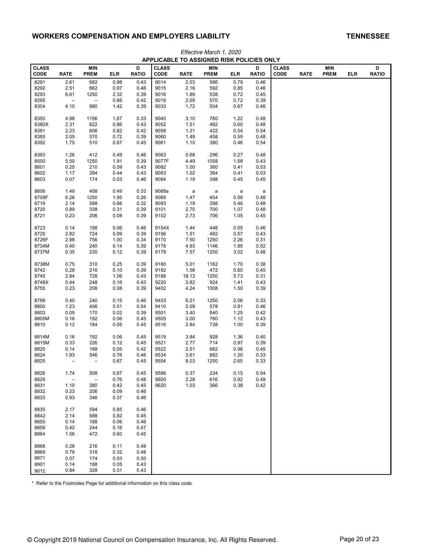|              |                          |                          |      | .            | ----         | .           |             | .    |              |              |             |             |     |              |
|--------------|--------------------------|--------------------------|------|--------------|--------------|-------------|-------------|------|--------------|--------------|-------------|-------------|-----|--------------|
| <b>CLASS</b> |                          | MIN                      |      | D            | <b>CLASS</b> |             | MIN         |      | D            | <b>CLASS</b> |             | MIN         |     | D            |
| <b>CODE</b>  | <b>RATE</b>              | <b>PREM</b>              | ELR  | <b>RATIO</b> | CODE         | <b>RATE</b> | <b>PREM</b> | ELR  | <b>RATIO</b> | CODE         | <b>RATE</b> | <b>PREM</b> | ELR | <b>RATIO</b> |
| 8291         | 2.61                     | 682                      | 0.98 | 0.43         | 9014         | 2.03        | 566         | 0.79 | 0.46         |              |             |             |     |              |
| 8292         | 2.51                     | 662                      | 0.97 | 0.46         | 9015         | 2.16        | 592         | 0.85 | 0.46         |              |             |             |     |              |
| 8293         | 6.61                     | 1250                     | 2.32 | 0.39         | 9016         | 1.89        | 538         | 0.72 | 0.45         |              |             |             |     |              |
| 8295         | $\qquad \qquad -$        | $\overline{\phantom{0}}$ | 0.66 | 0.42         | 9019         | 2.05        | 570         | 0.72 | 0.39         |              |             |             |     |              |
| 8304         | 4.10                     | 980                      | 1.42 | 0.39         | 9033         | 1.72        | 504         | 0.67 | 0.46         |              |             |             |     |              |
|              |                          |                          |      |              |              |             |             |      |              |              |             |             |     |              |
| 8350         | 4.98                     | 1156                     | 1.67 | 0.33         | 9040         | 3.10        | 780         | 1.22 | 0.48         |              |             |             |     |              |
| 8380X        | 2.31                     | 622                      | 0.86 | 0.43         | 9052         | 1.51        | 462         | 0.60 | 0.48         |              |             |             |     |              |
| 8381         | 2.23                     | 606                      | 0.82 | 0.42         | 9058         | 1.31        | 422         | 0.54 | 0.54         |              |             |             |     |              |
| 8385         | 2.05                     | 570                      | 0.72 | 0.39         | 9060         | 1.49        | 458         | 0.59 | 0.48         |              |             |             |     |              |
| 8392         | 1.75                     | 510                      | 0.67 | 0.45         | 9061         | 1.10        | 380         | 0.46 | 0.54         |              |             |             |     |              |
|              |                          |                          |      |              |              |             |             |      |              |              |             |             |     |              |
| 8393         | 1.26                     | 412                      | 0.49 | 0.46         | 9063         | 0.68        | 296         | 0.27 | 0.48         |              |             |             |     |              |
| 8500         | 5.50                     | 1250                     | 1.91 | 0.39         | 9077F        | 4.49        | 1058        | 1.58 | 0.43         |              |             |             |     |              |
| 8601         | 0.25                     | 210                      | 0.09 | 0.43         | 9082         | 1.00        | 360         | 0.41 | 0.53         |              |             |             |     |              |
| 8602         | 1.17                     | 394                      | 0.44 | 0.43         | 9083         | 1.02        | 364         | 0.41 | 0.53         |              |             |             |     |              |
|              |                          | 174                      |      | 0.46         | 9084         |             |             | 0.45 |              |              |             |             |     |              |
| 8603         | 0.07                     |                          | 0.03 |              |              | 1.19        | 398         |      | 0.45         |              |             |             |     |              |
|              |                          |                          |      |              |              |             |             |      |              |              |             |             |     |              |
| 8606         | 1.49                     | 458                      | 0.49 | 0.33         | 9088a        | a           | a           | a    | a            |              |             |             |     |              |
| 8709F        | 6.26                     | 1250                     | 1.95 | 0.26         | 9089         | 1.47        | 454         | 0.58 | 0.48         |              |             |             |     |              |
| 8719         | 2.14                     | 588                      | 0.66 | 0.32         | 9093         | 1.19        | 398         | 0.46 | 0.48         |              |             |             |     |              |
| 8720         | 0.89                     | 338                      | 0.31 | 0.39         | 9101         | 2.70        | 700         | 1.07 | 0.48         |              |             |             |     |              |
| 8721         | 0.23                     | 206                      | 0.08 | 0.39         | 9102         | 2.73        | 706         | 1.05 | 0.45         |              |             |             |     |              |
|              |                          |                          |      |              |              |             |             |      |              |              |             |             |     |              |
| 8723         | 0.14                     | 188                      | 0.06 | 0.46         | 9154X        | 1.44        | 448         | 0.55 | 0.46         |              |             |             |     |              |
| 8725         | 2.82                     | 724                      | 0.99 | 0.39         | 9156         | 1.51        | 462         | 0.57 | 0.43         |              |             |             |     |              |
| 8726F        | 2.98                     | 756                      | 1.00 | 0.34         | 9170         | 7.50        | 1250        | 2.26 | 0.31         |              |             |             |     |              |
| 8734M        | 0.40                     | 240                      | 0.14 | 0.39         | 9178         | 4.93        | 1146        | 1.95 | 0.52         |              |             |             |     |              |
| 8737M        | 0.35                     | 230                      | 0.12 | 0.39         | 9179         | 7.57        | 1250        | 3.02 | 0.48         |              |             |             |     |              |
|              |                          |                          |      |              |              |             |             |      |              |              |             |             |     |              |
| 8738M        | 0.75                     | 310                      | 0.25 | 0.39         | 9180         | 5.01        | 1162        | 1.70 | 0.38         |              |             |             |     |              |
| 8742         | 0.28                     | 216                      | 0.10 | 0.39         | 9182         | 1.56        | 472         | 0.60 | 0.45         |              |             |             |     |              |
| 8745         | 2.84                     | 728                      | 1.06 | 0.43         | 9186         | 18.13       | 1250        | 5.73 | 0.31         |              |             |             |     |              |
| 8748X        | 0.44                     | 248                      | 0.16 | 0.43         | 9220         | 3.82        | 924         | 1.41 | 0.43         |              |             |             |     |              |
| 8755         | 0.23                     | 206                      | 0.08 | 0.39         | 9402         | 4.24        | 1008        | 1.50 | 0.39         |              |             |             |     |              |
|              |                          |                          |      |              |              |             |             |      |              |              |             |             |     |              |
| 8799         | 0.40                     | 240                      | 0.15 | 0.46         | 9403         | 6.21        | 1250        | 2.06 | 0.33         |              |             |             |     |              |
| 8800         | 1.23                     | 406                      | 0.51 | 0.54         | 9410         | 2.09        | 578         | 0.81 | 0.46         |              |             |             |     |              |
| 8803         | 0.05                     | 170                      | 0.02 | 0.39         | 9501         | 3.40        | 840         | 1.25 | 0.42         |              |             |             |     |              |
| 8805M        | 0.16                     | 192                      | 0.06 | 0.45         | 9505         | 3.00        | 760         | 1.12 | 0.43         |              |             |             |     |              |
| 8810         | 0.12                     | 184                      | 0.05 | 0.45         | 9516         | 2.84        | 728         | 1.00 | 0.39         |              |             |             |     |              |
|              |                          |                          |      |              |              |             |             |      |              |              |             |             |     |              |
| 8814M        | 0.16                     | 192                      | 0.06 | 0.45         | 9519         | 3.84        | 928         | 1.36 | 0.40         |              |             |             |     |              |
| 8815M        | 0.33                     | 226                      | 0.12 | 0.45         | 9521         | 2.77        | 714         | 0.97 | 0.39         |              |             |             |     |              |
| 8820         | 0.14                     |                          | 0.05 | 0.42         | 9522         | 2.51        | 662         | 0.96 |              |              |             |             |     |              |
|              |                          | 188                      |      |              |              |             |             |      | 0.45         |              |             |             |     |              |
| 8824         | 1.93                     | 546                      | 0.76 | 0.48         | 9534         | 3.61        | 882         | 1.20 | 0.33         |              |             |             |     |              |
| 8825         | -                        | $\qquad \qquad -$        | 0.67 | 0.45         | 9554         | 8.03        | 1250        | 2.65 | 0.33         |              |             |             |     |              |
|              |                          |                          |      |              |              |             |             |      |              |              |             |             |     |              |
| 8826         | 1.74                     | 508                      | 0.67 | 0.45         | 9586         | 0.37        | 234         | 0.15 | 0.54         |              |             |             |     |              |
| 8829         | $\overline{\phantom{0}}$ | $\qquad \qquad -$        | 0.76 | 0.48         | 9600         | 2.28        | 616         | 0.92 | 0.49         |              |             |             |     |              |
| 8831         | 1.10                     | 380                      | 0.42 | 0.45         | 9620         | 1.03        | 366         | 0.38 | 0.42         |              |             |             |     |              |
| 8832         | 0.23                     | 206                      | 0.09 | 0.46         |              |             |             |      |              |              |             |             |     |              |
| 8833         | 0.93                     | 346                      | 0.37 | 0.46         |              |             |             |      |              |              |             |             |     |              |
|              |                          |                          |      |              |              |             |             |      |              |              |             |             |     |              |
| 8835         | 2.17                     | 594                      | 0.85 | 0.46         |              |             |             |      |              |              |             |             |     |              |
| 8842         | 2.14                     | 588                      | 0.82 | 0.45         |              |             |             |      |              |              |             |             |     |              |
| 8855         | 0.14                     | 188                      | 0.06 | 0.46         |              |             |             |      |              |              |             |             |     |              |
| 8856         | 0.42                     | 244                      | 0.16 | 0.47         |              |             |             |      |              |              |             |             |     |              |
| 8864         | 1.56                     | 472                      | 0.60 | 0.45         |              |             |             |      |              |              |             |             |     |              |
|              |                          |                          |      |              |              |             |             |      |              |              |             |             |     |              |
| 8868         | 0.28                     | 216                      | 0.11 | 0.48         |              |             |             |      |              |              |             |             |     |              |
| 8869         | 0.79                     | 318                      | 0.32 | 0.48         |              |             |             |      |              |              |             |             |     |              |
| 8871         | 0.07                     | 174                      | 0.03 | 0.50         |              |             |             |      |              |              |             |             |     |              |
| 8901         | 0.14                     | 188                      | 0.05 | 0.43         |              |             |             |      |              |              |             |             |     |              |
| 9012         | 0.84                     | 328                      | 0.31 | 0.43         |              |             |             |      |              |              |             |             |     |              |

## Effective March 1, 2020 **APPLICABLE TO ASSIGNED RISK POLICIES ONLY**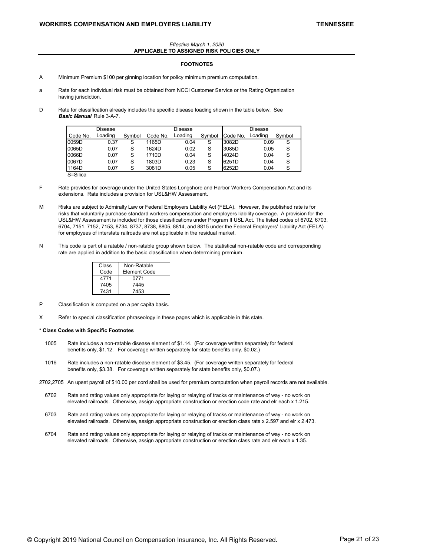#### Effective March 1, 2020 **APPLICABLE TO ASSIGNED RISK POLICIES ONLY**

### **FOOTNOTES**

- A Minimum Premium \$100 per ginning location for policy minimum premium computation.
- a Rate for each individual risk must be obtained from NCCI Customer Service or the Rating Organization having jurisdiction.
- D Rate for classification already includes the specific disease loading shown in the table below. See **Basic Manual** Rule 3-A-7.

|          | Disease |        |          | Disease |        |          | Disease |        |
|----------|---------|--------|----------|---------|--------|----------|---------|--------|
| Code No. | Loading | Symbol | Code No. | Loading | Symbol | Code No. | Loading | Symbol |
| 0059D    | 0.37    | S      | 1165D    | 0.04    | S      | 3082D    | 0.09    | S      |
| 0065D    | 0.07    | S      | 1624D    | 0.02    | S      | 3085D    | 0.05    | S      |
| 0066D    | 0.07    | S      | 1710D    | 0.04    | S      | 4024D    | 0.04    | S      |
| 0067D    | 0.07    | S      | 1803D    | 0.23    | S      | 6251D    | 0.04    | S      |
| 1164D    | 0.07    | S      | 3081D    | 0.05    |        | 6252D    | 0.04    | S      |

S=Silica

- F Rate provides for coverage under the United States Longshore and Harbor Workers Compensation Act and its extensions. Rate includes a provision for USL&HW Assessment.
- M Risks are subject to Admiralty Law or Federal Employers Liability Act (FELA). However, the published rate is for risks that voluntarily purchase standard workers compensation and employers liability coverage. A provision for the USL&HW Assessment is included for those classifications under Program II USL Act. The listed codes of 6702, 6703, 6704, 7151, 7152, 7153, 8734, 8737, 8738, 8805, 8814, and 8815 under the Federal Employers' Liability Act (FELA) for employees of interstate railroads are not applicable in the residual market.
- N This code is part of a ratable / non-ratable group shown below. The statistical non-ratable code and corresponding rate are applied in addition to the basic classification when determining premium.

| Class | Non-Ratable  |
|-------|--------------|
| Code  | Element Code |
| 4771  | 0771         |
| 7405  | 7445         |
| 7431  | 7453         |

- P Classification is computed on a per capita basis.
- X Refer to special classification phraseology in these pages which is applicable in this state.

### **\* Class Codes with Specific Footnotes**

- 1005 Rate includes a non-ratable disease element of \$1.14. (For coverage written separately for federal benefits only, \$1.12. For coverage written separately for state benefits only, \$0.02.)
- 1016 Rate includes a non-ratable disease element of \$3.45. (For coverage written separately for federal benefits only, \$3.38. For coverage written separately for state benefits only, \$0.07.)
- 2702,2705 An upset payroll of \$10.00 per cord shall be used for premium computation when payroll records are not available.
	- 6702 Rate and rating values only appropriate for laying or relaying of tracks or maintenance of way no work on elevated railroads. Otherwise, assign appropriate construction or erection code rate and elr each x 1.215.
	- 6703 Rate and rating values only appropriate for laying or relaying of tracks or maintenance of way no work on elevated railroads. Otherwise, assign appropriate construction or erection class rate x 2.597 and elr x 2.473.
	- 6704 Rate and rating values only appropriate for laying or relaying of tracks or maintenance of way no work on elevated railroads. Otherwise, assign appropriate construction or erection class rate and elr each x 1.35.